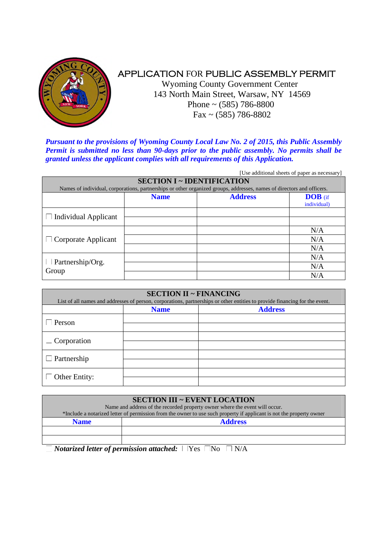

# APPLICATION FOR PUBLIC ASSEMBLY PERMIT

Wyoming County Government Center 143 North Main Street, Warsaw, NY 14569 Phone  $\sim$  (585) 786-8800 Fax ~ (585) 786-8802

*Pursuant to the provisions of Wyoming County Local Law No. 2 of 2015, this Public Assembly Permit is submitted no less than 90-days prior to the public assembly. No permits shall be granted unless the applicant complies with all requirements of this Application.*

|                                   |             |                                                                                                                        | [Use additional sheets of paper as necessary] |
|-----------------------------------|-------------|------------------------------------------------------------------------------------------------------------------------|-----------------------------------------------|
| <b>SECTION I ~ IDENTIFICATION</b> |             |                                                                                                                        |                                               |
|                                   |             | Names of individual, corporations, partnerships or other organized groups, addresses, names of directors and officers. |                                               |
|                                   | <b>Name</b> | <b>Address</b>                                                                                                         | <b>DOB</b> (if                                |
|                                   |             |                                                                                                                        | individual)                                   |
| <b>Individual Applicant</b>       |             |                                                                                                                        |                                               |
|                                   |             |                                                                                                                        |                                               |
| $\Box$ Corporate Applicant        |             |                                                                                                                        | N/A                                           |
|                                   |             |                                                                                                                        | N/A                                           |
|                                   |             |                                                                                                                        | N/A                                           |
| Partnership/Org.<br>Group         |             |                                                                                                                        | N/A                                           |
|                                   |             |                                                                                                                        | N/A                                           |
|                                   |             |                                                                                                                        | N/A                                           |

| <b>SECTION II ~ FINANCING</b><br>List of all names and addresses of person, corporations, partnerships or other entities to provide financing for the event. |             |                |  |
|--------------------------------------------------------------------------------------------------------------------------------------------------------------|-------------|----------------|--|
|                                                                                                                                                              | <b>Name</b> | <b>Address</b> |  |
| Person                                                                                                                                                       |             |                |  |
| $\equiv$ Corporation                                                                                                                                         |             |                |  |
|                                                                                                                                                              |             |                |  |
| $\Box$ Partnership                                                                                                                                           |             |                |  |
| Other Entity:                                                                                                                                                |             |                |  |

|                                                                                                                      | <b>SECTION III ~ EVENT LOCATION</b>              |  |
|----------------------------------------------------------------------------------------------------------------------|--------------------------------------------------|--|
| Name and address of the recorded property owner where the event will occur.                                          |                                                  |  |
| *Include a notarized letter of permission from the owner to use such property if applicant is not the property owner |                                                  |  |
| <b>Name</b>                                                                                                          | <b>Address</b>                                   |  |
|                                                                                                                      |                                                  |  |
|                                                                                                                      |                                                  |  |
| <b>TT .</b><br>$\overline{ }$                                                                                        | $-$<br>$\overline{\phantom{a}}$<br>$\sim$ $\sim$ |  |

*Notarized letter of permission attached:*  $|$   $|$   $Yes$   $\Box$   $No$   $\Box$   $N/A$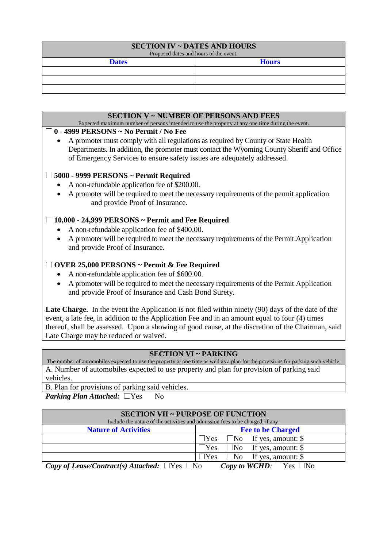| <b>SECTION IV ~ DATES AND HOURS</b><br>Proposed dates and hours of the event. |              |  |  |
|-------------------------------------------------------------------------------|--------------|--|--|
| <b>Dates</b>                                                                  | <b>Hours</b> |  |  |
|                                                                               |              |  |  |
|                                                                               |              |  |  |
|                                                                               |              |  |  |

# **SECTION V ~ NUMBER OF PERSONS AND FEES**

Expected maximum number of persons intended to use the property at any one time during the event.

#### **0 - 4999 PERSONS ~ No Permit / No Fee**

 A promoter must comply with all regulations as required by County or State Health Departments. In addition, the promoter must contact the Wyoming County Sheriff and Office of Emergency Services to ensure safety issues are adequately addressed.

# **5000 - 9999 PERSONS ~ Permit Required**

- A non-refundable application fee of \$200.00.
- A promoter will be required to meet the necessary requirements of the permit application and provide Proof of Insurance.

# **10,000 - 24,999 PERSONS ~ Permit and Fee Required**

- A non-refundable application fee of \$400.00.
- A promoter will be required to meet the necessary requirements of the Permit Application and provide Proof of Insurance.

# **OVER 25,000 PERSONS ~ Permit & Fee Required**

- A non-refundable application fee of \$600.00.
- A promoter will be required to meet the necessary requirements of the Permit Application and provide Proof of Insurance and Cash Bond Surety.

Late Charge. In the event the Application is not filed within ninety (90) days of the date of the event, a late fee, in addition to the Application Fee and in an amount equal to four (4) times thereof, shall be assessed. Upon a showing of good cause, at the discretion of the Chairman, said Late Charge may be reduced or waived.

#### **SECTION VI ~ PARKING**

The number of automobiles expected to use the property at one time as well as a plan for the provisions for parking such vehicle. A. Number of automobiles expected to use property and plan for provision of parking said vehicles.

B. Plan for provisions of parking said vehicles.

*Parking Plan Attached:*  $\Box$  Yes  $\Box$  No

| <b>SECTION VII ~ PURPOSE OF FUNCTION</b>                                       |                                                 |  |  |
|--------------------------------------------------------------------------------|-------------------------------------------------|--|--|
| Include the nature of the activities and admission fees to be charged, if any. |                                                 |  |  |
| <b>Nature of Activities</b>                                                    | <b>Fee to be Charged</b>                        |  |  |
|                                                                                | $\exists$ Yes $\parallel$ No If yes, amount: \$ |  |  |
|                                                                                | Yes<br>No If yes, amount: $\$                   |  |  |
|                                                                                | $\Box$ Yes $\Box$ No If yes, amount: \$         |  |  |
| Copy of Lease/Contract(s) Attached: $\Box$ Yes $\Box$ No                       | <i>Copy to WCHD</i> : $\sqrt{\ }$ Yes $\Box$ No |  |  |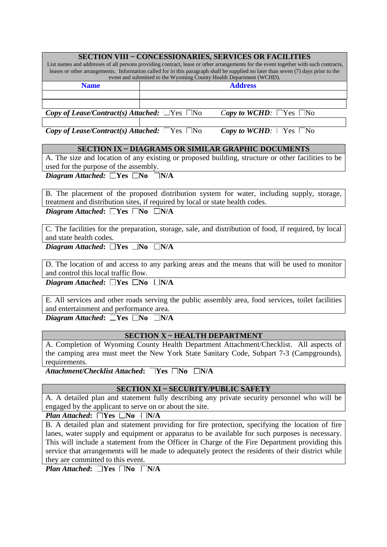| <b>SECTION VIII ~ CONCESSIONARIES, SERVICES OR FACILITIES</b>                                                                       |                |  |  |
|-------------------------------------------------------------------------------------------------------------------------------------|----------------|--|--|
| List names and addresses of all persons providing contract, lease or other arrangements for the event together with such contracts, |                |  |  |
| leases or other arrangements. Information called for in this paragraph shall be supplied no later than seven (7) days prior to the  |                |  |  |
| event and submitted to the Wyoming County Health Department (WCHD).                                                                 |                |  |  |
| <b>Name</b>                                                                                                                         | <b>Address</b> |  |  |
|                                                                                                                                     |                |  |  |
|                                                                                                                                     |                |  |  |
| <i>Copy of Lease/Contract(s) Attached:</i> $\Box$ Yes $\Box$ No<br><i>Copy to WCHD</i> : $\Box$ Yes $\Box$ No                       |                |  |  |
|                                                                                                                                     |                |  |  |

*Copy of Lease/Contract(s) Attached:* Yes  $\Box$ No *Copy to WCHD*:  $\Box$ Yes  $\Box$ No

# **SECTION IX ~ DIAGRAMS OR SIMILAR GRAPHIC DOCUMENTS**

A. The size and location of any existing or proposed building, structure or other facilities to be used for the purpose of the assembly.

*Diagram Attached:*  $\sqrt{\text{Yes}}$   $\Box$ No $\Box$ N/A

B. The placement of the proposed distribution system for water, including supply, storage, treatment and distribution sites, if required by local or state health codes. *Diagram Attached*:  $\sum$  Yes  $\sum$  No  $\sum$  N/A

C. The facilities for the preparation, storage, sale, and distribution of food, if required, by local and state health codes.

*Diagram Attached*:  $\Box$ Yes  $\Box$ No  $\Box$ N/A

D. The location of and access to any parking areas and the means that will be used to monitor and control this local traffic flow.

*Diagram Attached*:  $\Box$ Yes  $\Box$ No  $\Box$ N/A

E. All services and other roads serving the public assembly area, food services, toilet facilities and entertainment and performance area.

*Diagram Attached*:  $\overline{\phantom{a}}$  **No**  $\overline{\phantom{a}}$  **N/A** 

# **SECTION X ~ HEALTH DEPARTMENT**

A. Completion of Wyoming County Health Department Attachment/Checklist. All aspects of the camping area must meet the New York State Sanitary Code, Subpart 7-3 (Campgrounds), requirements.

*Attachment/Checklist Attached*: **Yes No N/A** 

# **SECTION XI ~ SECURITY/PUBLIC SAFETY**

A. A detailed plan and statement fully describing any private security personnel who will be engaged by the applicant to serve on or about the site.

*Plan Attached*:  $\sqrt{\text{Yes}}$   $\boxed{\text{N}}$   $\boxed{\text{N}}$ 

B. A detailed plan and statement providing for fire protection, specifying the location of fire lanes, water supply and equipment or apparatus to be available for such purposes is necessary. This will include a statement from the Officer in Charge of the Fire Department providing this service that arrangements will be made to adequately protect the residents of their district while they are committed to this event.

*Plan Attached*:  $\overline{N}$  **No**  $\overline{N}$  **N/A**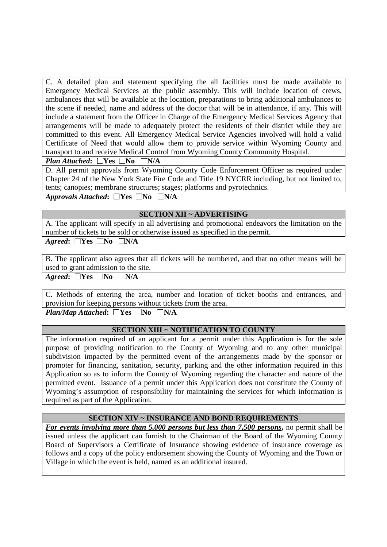C. A detailed plan and statement specifying the all facilities must be made available to Emergency Medical Services at the public assembly. This will include location of crews, ambulances that will be available at the location, preparations to bring additional ambulances to the scene if needed, name and address of the doctor that will be in attendance, if any. This will include a statement from the Officer in Charge of the Emergency Medical Services Agency that arrangements will be made to adequately protect the residents of their district while they are committed to this event. All Emergency Medical Service Agencies involved will hold a valid Certificate of Need that would allow them to provide service within Wyoming County and transport to and receive Medical Control from Wyoming County Community Hospital.

*Plan Attached*:  $\Box$  Yes  $\Box$  No $\Box$  N/A

D. All permit approvals from Wyoming County Code Enforcement Officer as required under Chapter 24 of the New York State Fire Code and Title 19 NYCRR including, but not limited to, tents; canopies; membrane structures; stages; platforms and pyrotechnics.

 $A$ *pprovals Attached*:  $\Box$  Yes  $\Box$  No $\Box$  N/A

#### **SECTION XII ~ ADVERTISING**

A. The applicant will specify in all advertising and promotional endeavors the limitation on the number of tickets to be sold or otherwise issued as specified in the permit.

*Agreed*:  $\Gamma$ **Yes**  $\Gamma$ **No**  $\Gamma$ **N/A** 

B. The applicant also agrees that all tickets will be numbered, and that no other means will be used to grant admission to the site.

 $A \text{greed}$ :  $\Box$  Yes  $\Box$  No  $\Box$  N/A

C. Methods of entering the area, number and location of ticket booths and entrances, and provision for keeping persons without tickets from the area.

 $Plan/Map$  Attached**:**  $\sqrt{\text{Yes M}}$   $\sqrt{\text{N/A}}$ 

#### **SECTION XIII ~ NOTIFICATION TO COUNTY**

The information required of an applicant for a permit under this Application is for the sole purpose of providing notification to the County of Wyoming and to any other municipal subdivision impacted by the permitted event of the arrangements made by the sponsor or promoter for financing, sanitation, security, parking and the other information required in this Application so as to inform the County of Wyoming regarding the character and nature of the permitted event. Issuance of a permit under this Application does not constitute the County of Wyoming's assumption of responsibility for maintaining the services for which information is required as part of the Application.

# **SECTION XIV ~ INSURANCE AND BOND REQUIREMENTS**

*For events involving more than 5,000 persons but less than 7,500 persons***,** no permit shall be issued unless the applicant can furnish to the Chairman of the Board of the Wyoming County Board of Supervisors a Certificate of Insurance showing evidence of insurance coverage as follows and a copy of the policy endorsement showing the County of Wyoming and the Town or Village in which the event is held, named as an additional insured.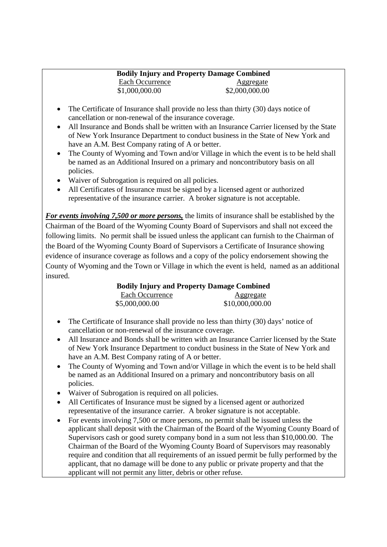#### **Bodily Injury and Property Damage Combined** Each Occurrence Aggregate \$1,000,000.00 \$2,000,000.00

- The Certificate of Insurance shall provide no less than thirty (30) days notice of cancellation or non-renewal of the insurance coverage.
- All Insurance and Bonds shall be written with an Insurance Carrier licensed by the State of New York Insurance Department to conduct business in the State of New York and have an A.M. Best Company rating of A or better.
- The County of Wyoming and Town and/or Village in which the event is to be held shall be named as an Additional Insured on a primary and noncontributory basis on all policies.
- Waiver of Subrogation is required on all policies.
- All Certificates of Insurance must be signed by a licensed agent or authorized representative of the insurance carrier. A broker signature is not acceptable.

*For events involving 7,500 or more persons,* the limits of insurance shall be established by the Chairman of the Board of the Wyoming County Board of Supervisors and shall not exceed the following limits. No permit shall be issued unless the applicant can furnish to the Chairman of the Board of the Wyoming County Board of Supervisors a Certificate of Insurance showing evidence of insurance coverage as follows and a copy of the policy endorsement showing the County of Wyoming and the Town or Village in which the event is held, named as an additional insured.

> **Bodily Injury and Property Damage Combined** Each Occurrence Aggregate \$5,000,000.00 \$10,000,000.00

- The Certificate of Insurance shall provide no less than thirty (30) days' notice of cancellation or non-renewal of the insurance coverage.
- All Insurance and Bonds shall be written with an Insurance Carrier licensed by the State of New York Insurance Department to conduct business in the State of New York and have an A.M. Best Company rating of A or better.
- The County of Wyoming and Town and/or Village in which the event is to be held shall be named as an Additional Insured on a primary and noncontributory basis on all policies.
- Waiver of Subrogation is required on all policies.
- All Certificates of Insurance must be signed by a licensed agent or authorized representative of the insurance carrier. A broker signature is not acceptable.
- For events involving 7,500 or more persons, no permit shall be issued unless the applicant shall deposit with the Chairman of the Board of the Wyoming County Board of Supervisors cash or good surety company bond in a sum not less than \$10,000.00. The Chairman of the Board of the Wyoming County Board of Supervisors may reasonably require and condition that all requirements of an issued permit be fully performed by the applicant, that no damage will be done to any public or private property and that the applicant will not permit any litter, debris or other refuse.